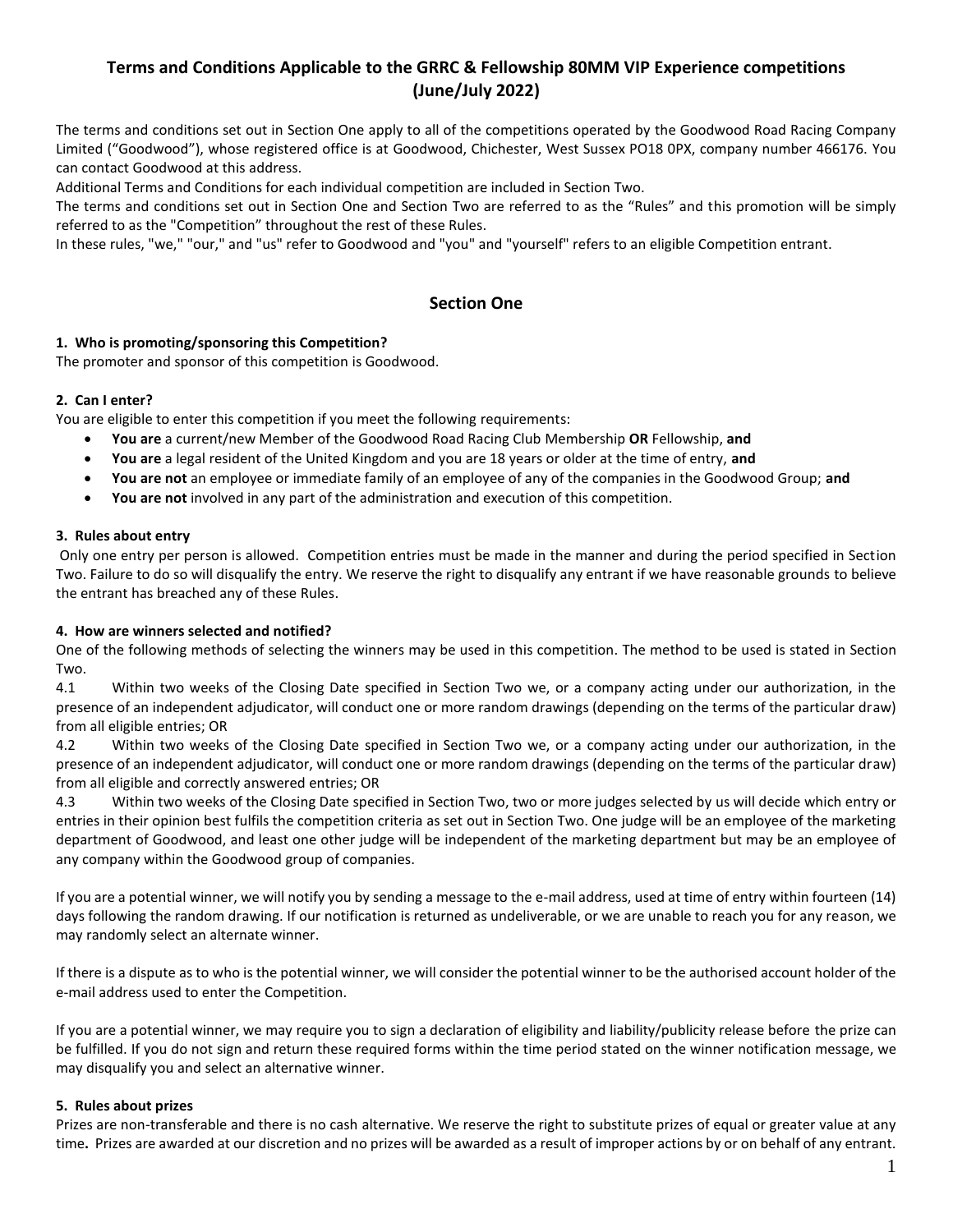# **Terms and Conditions Applicable to the GRRC & Fellowship 80MM VIP Experience competitions (June/July 2022)**

The terms and conditions set out in Section One apply to all of the competitions operated by the Goodwood Road Racing Company Limited ("Goodwood"), whose registered office is at Goodwood, Chichester, West Sussex PO18 0PX, company number 466176. You can contact Goodwood at this address.

Additional Terms and Conditions for each individual competition are included in Section Two.

The terms and conditions set out in Section One and Section Two are referred to as the "Rules" and this promotion will be simply referred to as the "Competition" throughout the rest of these Rules.

In these rules, "we," "our," and "us" refer to Goodwood and "you" and "yourself" refers to an eligible Competition entrant.

### **Section One**

### **1. Who is promoting/sponsoring this Competition?**

The promoter and sponsor of this competition is Goodwood.

#### **2. Can I enter?**

You are eligible to enter this competition if you meet the following requirements:

- **You are** a current/new Member of the Goodwood Road Racing Club Membership **OR** Fellowship, **and**
- **You are** a legal resident of the United Kingdom and you are 18 years or older at the time of entry, **and**
- **You are not** an employee or immediate family of an employee of any of the companies in the Goodwood Group; **and**
- **You are not** involved in any part of the administration and execution of this competition.

#### **3. Rules about entry**

Only one entry per person is allowed. Competition entries must be made in the manner and during the period specified in Section Two. Failure to do so will disqualify the entry. We reserve the right to disqualify any entrant if we have reasonable grounds to believe the entrant has breached any of these Rules.

#### **4. How are winners selected and notified?**

One of the following methods of selecting the winners may be used in this competition. The method to be used is stated in Section Two.

4.1 Within two weeks of the Closing Date specified in Section Two we, or a company acting under our authorization, in the presence of an independent adjudicator, will conduct one or more random drawings (depending on the terms of the particular draw) from all eligible entries; OR

4.2 Within two weeks of the Closing Date specified in Section Two we, or a company acting under our authorization, in the presence of an independent adjudicator, will conduct one or more random drawings (depending on the terms of the particular draw) from all eligible and correctly answered entries; OR

4.3 Within two weeks of the Closing Date specified in Section Two, two or more judges selected by us will decide which entry or entries in their opinion best fulfils the competition criteria as set out in Section Two. One judge will be an employee of the marketing department of Goodwood, and least one other judge will be independent of the marketing department but may be an employee of any company within the Goodwood group of companies.

If you are a potential winner, we will notify you by sending a message to the e-mail address, used at time of entry within fourteen (14) days following the random drawing. If our notification is returned as undeliverable, or we are unable to reach you for any reason, we may randomly select an alternate winner.

If there is a dispute as to who is the potential winner, we will consider the potential winner to be the authorised account holder of the e-mail address used to enter the Competition.

If you are a potential winner, we may require you to sign a declaration of eligibility and liability/publicity release before the prize can be fulfilled. If you do not sign and return these required forms within the time period stated on the winner notification message, we may disqualify you and select an alternative winner.

#### **5. Rules about prizes**

Prizes are non-transferable and there is no cash alternative. We reserve the right to substitute prizes of equal or greater value at any time**.** Prizes are awarded at our discretion and no prizes will be awarded as a result of improper actions by or on behalf of any entrant.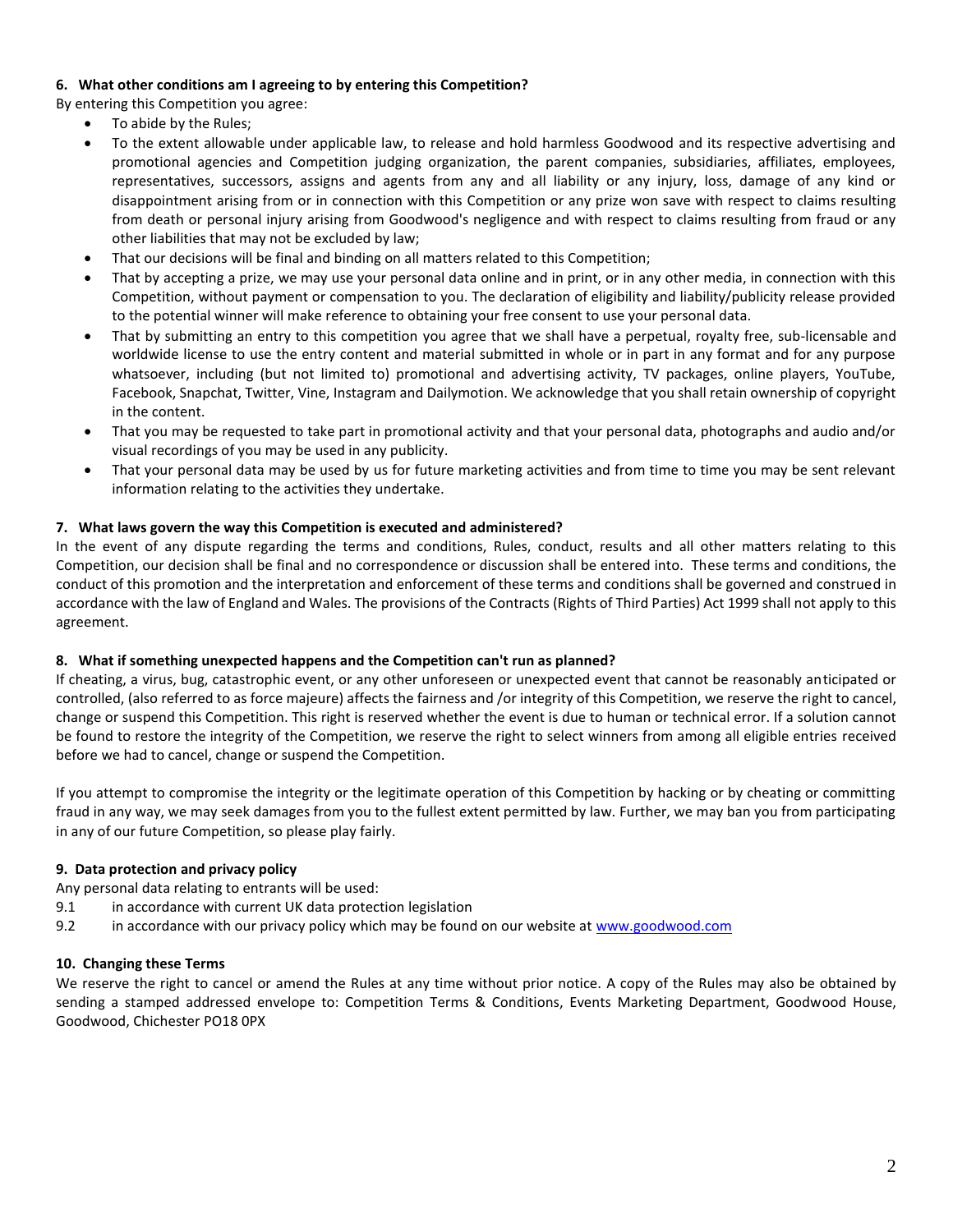### **6. What other conditions am I agreeing to by entering this Competition?**

By entering this Competition you agree:

- To abide by the Rules;
- To the extent allowable under applicable law, to release and hold harmless Goodwood and its respective advertising and promotional agencies and Competition judging organization, the parent companies, subsidiaries, affiliates, employees, representatives, successors, assigns and agents from any and all liability or any injury, loss, damage of any kind or disappointment arising from or in connection with this Competition or any prize won save with respect to claims resulting from death or personal injury arising from Goodwood's negligence and with respect to claims resulting from fraud or any other liabilities that may not be excluded by law;
- That our decisions will be final and binding on all matters related to this Competition;
- That by accepting a prize, we may use your personal data online and in print, or in any other media, in connection with this Competition, without payment or compensation to you. The declaration of eligibility and liability/publicity release provided to the potential winner will make reference to obtaining your free consent to use your personal data.
- That by submitting an entry to this competition you agree that we shall have a perpetual, royalty free, sub-licensable and worldwide license to use the entry content and material submitted in whole or in part in any format and for any purpose whatsoever, including (but not limited to) promotional and advertising activity, TV packages, online players, YouTube, Facebook, Snapchat, Twitter, Vine, Instagram and Dailymotion. We acknowledge that you shall retain ownership of copyright in the content.
- That you may be requested to take part in promotional activity and that your personal data, photographs and audio and/or visual recordings of you may be used in any publicity.
- That your personal data may be used by us for future marketing activities and from time to time you may be sent relevant information relating to the activities they undertake.

### **7. What laws govern the way this Competition is executed and administered?**

In the event of any dispute regarding the terms and conditions, Rules, conduct, results and all other matters relating to this Competition, our decision shall be final and no correspondence or discussion shall be entered into. These terms and conditions, the conduct of this promotion and the interpretation and enforcement of these terms and conditions shall be governed and construed in accordance with the law of England and Wales. The provisions of the Contracts (Rights of Third Parties) Act 1999 shall not apply to this agreement.

### **8. What if something unexpected happens and the Competition can't run as planned?**

If cheating, a virus, bug, catastrophic event, or any other unforeseen or unexpected event that cannot be reasonably anticipated or controlled, (also referred to as force majeure) affects the fairness and /or integrity of this Competition, we reserve the right to cancel, change or suspend this Competition. This right is reserved whether the event is due to human or technical error. If a solution cannot be found to restore the integrity of the Competition, we reserve the right to select winners from among all eligible entries received before we had to cancel, change or suspend the Competition.

If you attempt to compromise the integrity or the legitimate operation of this Competition by hacking or by cheating or committing fraud in any way, we may seek damages from you to the fullest extent permitted by law. Further, we may ban you from participating in any of our future Competition, so please play fairly.

### **9. Data protection and privacy policy**

Any personal data relating to entrants will be used:

- 9.1 in accordance with current UK data protection legislation
- 9.2 in accordance with our privacy policy which may be found on our website at [www.goodwood.com](http://www.goodwood.com/)

### **10. Changing these Terms**

We reserve the right to cancel or amend the Rules at any time without prior notice. A copy of the Rules may also be obtained by sending a stamped addressed envelope to: Competition Terms & Conditions, Events Marketing Department, Goodwood House, Goodwood, Chichester PO18 0PX